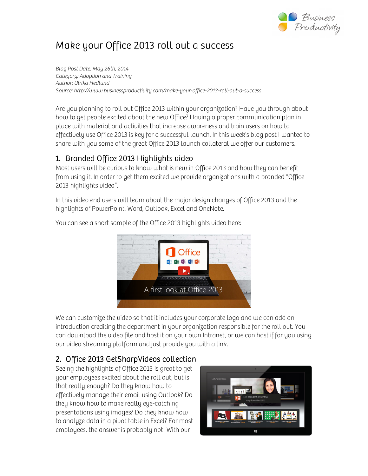

# Make your Office 2013 roll out a success

Blog Post Date: May 26th, 2014 Category: Adoption and Training Author: Ulrika Hedlund Source: http://www.businessproductivity.com/make-your-office-2013-roll-out-a-success

Are you planning to roll out Office 2013 within your organization? Have you through about how to get people excited about the new Office? Having a proper communication plan in place with material and activities that increase awareness and train users on how to effectively use Office 2013 is key for a successful launch. In this week's blog post I wanted to share with you some of the great Office 2013 launch collateral we offer our customers.

#### 1. Branded Office 2013 Highlights video

Most users will be curious to know what is new in Office 2013 and how they can benefit from using it. In order to get them excited we provide organizations with a branded "Office 2013 highlights video".

In this video end users will learn about the major design changes of Office 2013 and the highlights of PowerPoint, Word, Outlook, Excel and OneNote.



You can see a short sample of the Office 2013 highlights video here:

We can customize the video so that it includes your corporate logo and we can add an introduction crediting the department in your organization responsible for the roll out. You can download the video file and host it on your own Intranet, or we can host if for you using our video streaming platform and just provide you with a link.

### 2. Office 2013 GetSharpVideos collection

Seeing the highlights of Office 2013 is great to get your employees excited about the roll out, but is that really enough? Do they know how to effectively manage their email using Outlook? Do they know how to make really eye-catching presentations using images? Do they know how to analyze data in a pivot table in Excel? For most employees, the answer is probably not! With our